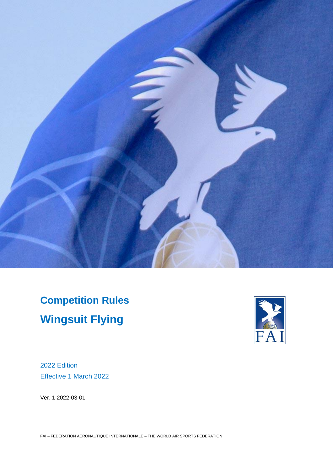

**Competition Rules Wingsuit Flying**



2022 Edition Effective 1 March 2022

Ver. 1 2022-03-01

FAI – FEDERATION AERONAUTIQUE INTERNATIONALE – THE WORLD AIR SPORTS FEDERATION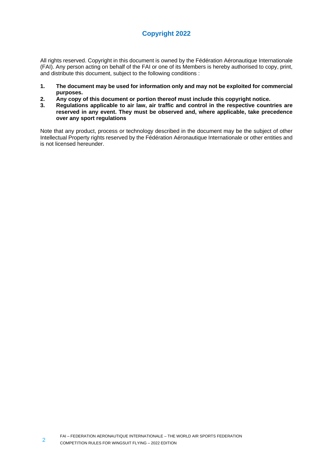# **Copyright 2022**

All rights reserved. Copyright in this document is owned by the Fédération Aéronautique Internationale (FAI). Any person acting on behalf of the FAI or one of its Members is hereby authorised to copy, print, and distribute this document, subject to the following conditions :

- **1. The document may be used for information only and may not be exploited for commercial purposes.**
- **2. Any copy of this document or portion thereof must include this copyright notice.**
- **3. Regulations applicable to air law, air traffic and control in the respective countries are reserved in any event. They must be observed and, where applicable, take precedence over any sport regulations**

Note that any product, process or technology described in the document may be the subject of other Intellectual Property rights reserved by the Fédération Aéronautique Internationale or other entities and is not licensed hereunder.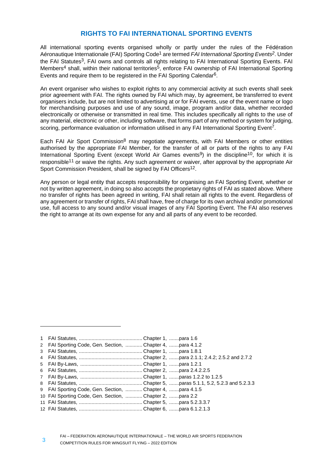# **RIGHTS TO FAI INTERNATIONAL SPORTING EVENTS**

All international sporting events organised wholly or partly under the rules of the Fédération Aéronautique Internationale (FAI) Sporting Code1 are termed *FAI International Sporting Events2*. Under the FAI Statutes<sup>3</sup>. FAI owns and controls all rights relating to FAI International Sporting Events. FAI Members<sup>4</sup> shall, within their national territories<sup>5</sup>, enforce FAI ownership of FAI International Sporting Events and require them to be registered in the FAI Sporting Calendar6.

An event organiser who wishes to exploit rights to any commercial activity at such events shall seek prior agreement with FAI. The rights owned by FAI which may, by agreement, be transferred to event organisers include, but are not limited to advertising at or for FAI events, use of the event name or logo for merchandising purposes and use of any sound, image, program and/or data, whether recorded electronically or otherwise or transmitted in real time. This includes specifically all rights to the use of any material, electronic or other, including software, that forms part of any method or system for judging, scoring, performance evaluation or information utilised in any FAI International Sporting Event<sup>7</sup>.

Each FAI Air Sport Commission<sup>8</sup> may negotiate agreements, with FAI Members or other entities authorised by the appropriate FAI Member, for the transfer of all or parts of the rights to any FAI International Sporting Event (except World Air Games events<sup>9</sup>) in the discipline<sup>10</sup>, for which it is responsible<sup>11</sup> or waive the rights. Any such agreement or waiver, after approval by the appropriate Air Sport Commission President, shall be signed by FAI Officers<sup>12</sup>.

Any person or legal entity that accepts responsibility for organising an FAI Sporting Event, whether or not by written agreement, in doing so also accepts the proprietary rights of FAI as stated above. Where no transfer of rights has been agreed in writing, FAI shall retain all rights to the event. Regardless of any agreement or transfer of rights, FAI shall have, free of charge for its own archival and/or promotional use, full access to any sound and/or visual images of any FAI Sporting Event. The FAI also reserves the right to arrange at its own expense for any and all parts of any event to be recorded.

<sup>1</sup> FAI Statutes, ............................................. Chapter 1, .......para 1.6

<sup>2</sup> FAI Sporting Code, Gen. Section, ............ Chapter 4, .......para 4.1.2

<sup>3</sup> FAI Statutes, ............................................. Chapter 1, .......para 1.8.1

<sup>4</sup> FAI Statutes, ............................................. Chapter 2, .......para 2.1.1; 2.4.2; 2.5.2 and 2.7.2

<sup>5</sup> FAI By-Laws, ............................................ Chapter 1, .......para 1.2.1

<sup>6</sup> FAI Statutes, ............................................. Chapter 2, .......para 2.4.2.2.5

<sup>7</sup> FAI By-Laws, ............................................ Chapter 1, .......paras 1.2.2 to 1.2.5

<sup>8</sup> FAI Statutes, ............................................. Chapter 5, .......paras 5.1.1, 5.2, 5.2.3 and 5.2.3.3

<sup>9</sup> FAI Sporting Code, Gen. Section, ............ Chapter 4, .......para 4.1.5 10 FAI Sporting Code, Gen. Section, ............ Chapter 2, .......para 2.2

<sup>11</sup> FAI Statutes, ............................................. Chapter 5, .......para 5.2.3.3.7

<sup>12</sup> FAI Statutes, ............................................. Chapter 6, .......para 6.1.2.1.3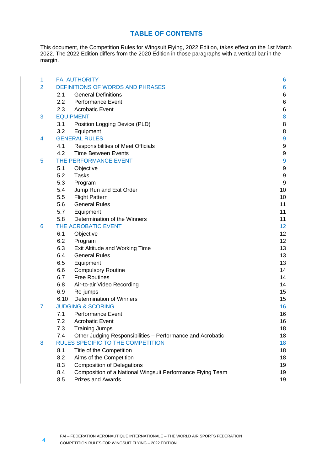# **TABLE OF CONTENTS**

This document, the Competition Rules for Wingsuit Flying, 2022 Edition, takes effect on the 1st March 2022. The 2022 Edition differs from the 2020 Edition in those paragraphs with a vertical bar in the margin.

| 1              | <b>FAI AUTHORITY</b>                                              | 6              |
|----------------|-------------------------------------------------------------------|----------------|
| $\overline{2}$ | <b>DEFINITIONS OF WORDS AND PHRASES</b>                           | 6              |
|                | <b>General Definitions</b><br>2.1                                 | 6              |
|                | 2.2<br><b>Performance Event</b>                                   | 6              |
|                | <b>Acrobatic Event</b><br>2.3                                     | 6              |
| 3              | <b>EQUIPMENT</b>                                                  | 8              |
|                | 3.1<br>Position Logging Device (PLD)                              | 8              |
|                | 3.2<br>Equipment                                                  | 8              |
| 4              | <b>GENERAL RULES</b>                                              | $\overline{9}$ |
|                | 4.1<br>Responsibilities of Meet Officials                         | 9              |
|                | 4.2<br><b>Time Between Events</b>                                 | 9              |
| 5              | THE PERFORMANCE EVENT                                             | $\overline{9}$ |
|                | 5.1<br>Objective                                                  | 9              |
|                | 5.2<br><b>Tasks</b>                                               | 9              |
|                | 5.3<br>Program                                                    | 9              |
|                | 5.4<br>Jump Run and Exit Order                                    | 10             |
|                | 5.5<br><b>Flight Pattern</b>                                      | 10             |
|                | 5.6<br><b>General Rules</b>                                       | 11             |
|                | 5.7<br>Equipment                                                  | 11             |
|                | Determination of the Winners<br>5.8                               | 11             |
| 6              | THE ACROBATIC EVENT                                               | 12             |
|                | 6.1<br>Objective                                                  | 12             |
|                | 6.2<br>Program                                                    | 12             |
|                | 6.3<br>Exit Altitude and Working Time                             | 13             |
|                | 6.4<br><b>General Rules</b>                                       | 13             |
|                | 6.5<br>Equipment                                                  | 13             |
|                | 6.6<br><b>Compulsory Routine</b>                                  | 14             |
|                | 6.7<br><b>Free Routines</b>                                       | 14             |
|                | 6.8<br>Air-to-air Video Recording                                 | 14             |
|                | 6.9<br>Re-jumps                                                   | 15             |
|                | <b>Determination of Winners</b><br>6.10                           | 15             |
| 7              | <b>JUDGING &amp; SCORING</b>                                      | 16             |
|                | <b>Performance Event</b><br>7.1                                   | 16             |
|                | 7.2<br><b>Acrobatic Event</b>                                     | 16             |
|                | 7.3<br><b>Training Jumps</b>                                      | 18             |
|                | Other Judging Responsibilities - Performance and Acrobatic<br>7.4 | 18             |
| 8              | RULES SPECIFIC TO THE COMPETITION                                 | 18             |
|                | 8.1<br>Title of the Competition                                   | 18             |
|                | 8.2<br>Aims of the Competition                                    | 18             |
|                | <b>Composition of Delegations</b><br>8.3                          | 19             |
|                | 8.4<br>Composition of a National Wingsuit Performance Flying Team | 19             |
|                | 8.5<br>Prizes and Awards                                          | 19             |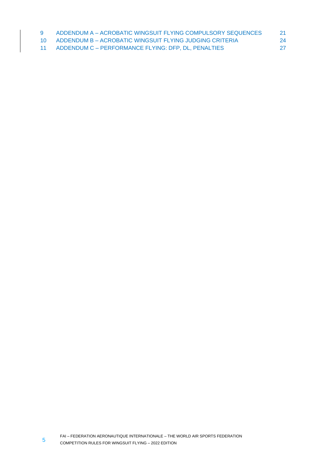| 9 | ADDENDUM A - ACROBATIC WINGSUIT FLYING COMPULSORY SEQUENCES |    |
|---|-------------------------------------------------------------|----|
|   | 10 ADDENDUM B - ACROBATIC WINGSUIT FLYING JUDGING CRITERIA  | 24 |
|   | 11 ADDENDUM C - PERFORMANCE FLYING: DFP, DL, PENALTIES      |    |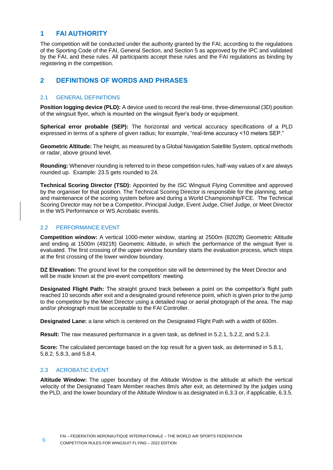# <span id="page-5-0"></span>**1 FAI AUTHORITY**

The competition will be conducted under the authority granted by the FAI, according to the regulations of the Sporting Code of the FAI, General Section, and Section 5 as approved by the IPC and validated by the FAI, and these rules. All participants accept these rules and the FAI regulations as binding by registering in the competition.

# <span id="page-5-1"></span>**2 DEFINITIONS OF WORDS AND PHRASES**

# <span id="page-5-2"></span>2.1 GENERAL DEFINITIONS

**Position logging device (PLD):** A device used to record the real-time, three-dimensional (3D) position of the wingsuit flyer, which is mounted on the wingsuit flyer's body or equipment.

**Spherical error probable (SEP):** The horizontal and vertical accuracy specifications of a PLD expressed in terms of a sphere of given radius; for example, "real-time accuracy <10 meters SEP."

**Geometric Altitude:** The height, as measured by a Global Navigation Satellite System, optical methods or radar, above ground level.

**Rounding:** Whenever rounding is referred to in these competition rules, half-way values of x are always rounded up. Example: 23.5 gets rounded to 24.

**Technical Scoring Director (TSD):** Appointed by the ISC Wingsuit Flying Committee and approved by the organiser for that position. The Technical Scoring Director is responsible for the planning, setup and maintenance of the scoring system before and during a World Championship/FCE. The Technical Scoring Director may not be a Competitor, Principal Judge, Event Judge, Chief Judge, or Meet Director in the WS Performance or WS Acrobatic events.

# <span id="page-5-3"></span>2.2 PERFORMANCE EVENT

**Competition window:** A vertical 1000-meter window, starting at 2500m (8202ft) Geometric Altitude and ending at 1500m (4921ft) Geometric Altitude, in which the performance of the wingsuit flyer is evaluated. The first crossing of the upper window boundary starts the evaluation process, which stops at the first crossing of the lower window boundary.

**DZ Elevation:** The ground level for the competition site will be determined by the Meet Director and will be made known at the pre-event competitors' meeting.

**Designated Flight Path:** The straight ground track between a point on the competitor's flight path reached 10 seconds after exit and a designated ground reference point, which is given prior to the jump to the competitor by the Meet Director using a detailed map or aerial photograph of the area. The map and/or photograph must be acceptable to the FAI Controller.

**Designated Lane:** a lane which is centered on the Designated Flight Path with a width of 600m.

**Result:** The raw measured performance in a given task, as defined in [5.2.1,](#page-8-7) [5.2.2,](#page-8-8) and [5.2.3.](#page-8-9)

**Score:** The calculated percentage based on the top result for a given task, as determined in [5.8.1,](#page-10-3) [5.8.2,](#page-10-4) [5.8.3,](#page-11-3) and [5.8.4.](#page-11-4)

# <span id="page-5-4"></span>2.3 ACROBATIC EVENT

**Altitude Window:** The upper boundary of the Altitude Window is the altitude at which the vertical velocity of the Designated Team Member reaches 8m/s after exit, as determined by the judges using the PLD, and the lower boundary of the Altitude Window is as designated i[n 6.3.3](#page-12-3) or, if applicable[, 6.3.5.](#page-12-4)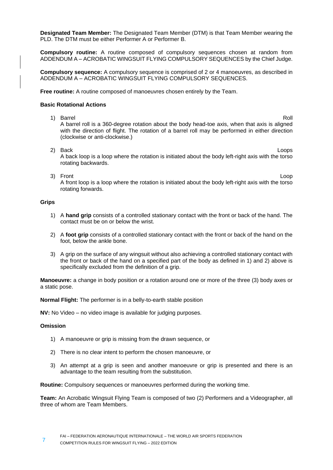**Designated Team Member:** The Designated Team Member (DTM) is that Team Member wearing the PLD. The DTM must be either Performer A or Performer B.

**Compulsory routine:** A routine composed of compulsory sequences chosen at random from ADDENDUM A – ACROBATIC WINGSUIT [FLYING COMPULSORY SEQUENCES](#page-20-0) by the Chief Judge.

**Compulsory sequence:** A compulsory sequence is comprised of 2 or 4 manoeuvres, as described in ADDENDUM A – ACROBATIC WINGSUIT [FLYING COMPULSORY SEQUENCES.](#page-20-0)

**Free routine:** A routine composed of manoeuvres chosen entirely by the Team.

#### **Basic Rotational Actions**

- 1) Barrel **Roll** A barrel roll is a 360-degree rotation about the body head-toe axis, when that axis is aligned with the direction of flight. The rotation of a barrel roll may be performed in either direction (clockwise or anti-clockwise.)
	- 2) Back Loops A back loop is a loop where the rotation is initiated about the body left-right axis with the torso rotating backwards.
	- 3) Front Loop (1999) and the contract of the contract of the contract of the contract of the contract of the contract of the contract of the contract of the contract of the contract of the contract of the contract of the c A front loop is a loop where the rotation is initiated about the body left-right axis with the torso rotating forwards.

#### **Grips**

- 1) A **hand grip** consists of a controlled stationary contact with the front or back of the hand. The contact must be on or below the wrist.
- 2) A **foot grip** consists of a controlled stationary contact with the front or back of the hand on the foot, below the ankle bone.
- 3) A grip on the surface of any wingsuit without also achieving a controlled stationary contact with the front or back of the hand on a specified part of the body as defined in 1) and 2) above is specifically excluded from the definition of a grip.

**Manoeuvre:** a change in body position or a rotation around one or more of the three (3) body axes or a static pose.

**Normal Flight:** The performer is in a belly-to-earth stable position

**NV:** No Video – no video image is available for judging purposes.

# **Omission**

- 1) A manoeuvre or grip is missing from the drawn sequence, or
- 2) There is no clear intent to perform the chosen manoeuvre, or
- 3) An attempt at a grip is seen and another manoeuvre or grip is presented and there is an advantage to the team resulting from the substitution.

**Routine:** Compulsory sequences or manoeuvres performed during the working time.

**Team:** An Acrobatic Wingsuit Flying Team is composed of two (2) Performers and a Videographer, all three of whom are Team Members.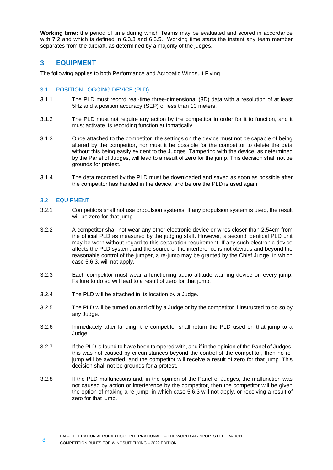**Working time:** the period of time during which Teams may be evaluated and scored in accordance with [7.2](#page-15-2) and which is defined in [6.3.3](#page-12-3) and [6.3.5.](#page-12-4) Working time starts the instant any team member separates from the aircraft, as determined by a majority of the judges.

# <span id="page-7-0"></span>**3 EQUIPMENT**

The following applies to both Performance and Acrobatic Wingsuit Flying.

#### <span id="page-7-1"></span>3.1 POSITION LOGGING DEVICE (PLD)

- 3.1.1 The PLD must record real-time three-dimensional (3D) data with a resolution of at least 5Hz and a position accuracy (SEP) of less than 10 meters.
- 3.1.2 The PLD must not require any action by the competitor in order for it to function, and it must activate its recording function automatically.
- 3.1.3 Once attached to the competitor, the settings on the device must not be capable of being altered by the competitor, nor must it be possible for the competitor to delete the data without this being easily evident to the Judges. Tampering with the device, as determined by the Panel of Judges, will lead to a result of zero for the jump. This decision shall not be grounds for protest.
- 3.1.4 The data recorded by the PLD must be downloaded and saved as soon as possible after the competitor has handed in the device, and before the PLD is used again

#### <span id="page-7-2"></span>3.2 EQUIPMENT

- 3.2.1 Competitors shall not use propulsion systems. If any propulsion system is used, the result will be zero for that jump.
- 3.2.2 A competitor shall not wear any other electronic device or wires closer than 2.54cm from the official PLD as measured by the judging staff. However, a second identical PLD unit may be worn without regard to this separation requirement. If any such electronic device affects the PLD system, and the source of the interference is not obvious and beyond the reasonable control of the jumper, a re-jump may be granted by the Chief Judge, in which case [5.6.3.](#page-10-5) will not apply.
- 3.2.3 Each competitor must wear a functioning audio altitude warning device on every jump. Failure to do so will lead to a result of zero for that jump.
- 3.2.4 The PLD will be attached in its location by a Judge.
- 3.2.5 The PLD will be turned on and off by a Judge or by the competitor if instructed to do so by any Judge.
- 3.2.6 Immediately after landing, the competitor shall return the PLD used on that jump to a Judge.
- 3.2.7 If the PLD is found to have been tampered with, and if in the opinion of the Panel of Judges, this was not caused by circumstances beyond the control of the competitor, then no rejump will be awarded, and the competitor will receive a result of zero for that jump. This decision shall not be grounds for a protest.
- 3.2.8 If the PLD malfunctions and, in the opinion of the Panel of Judges, the malfunction was not caused by action or interference by the competitor, then the competitor will be given the option of making a re-jump, in which case [5.6.3](#page-10-5) will not apply, or receiving a result of zero for that jump.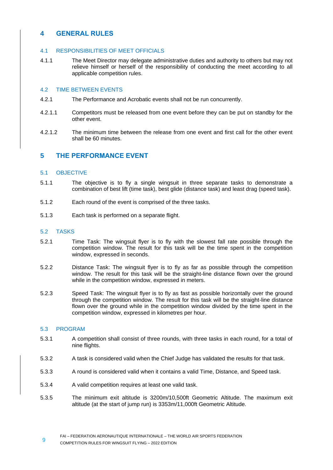# <span id="page-8-0"></span>**4 GENERAL RULES**

#### <span id="page-8-1"></span>4.1 RESPONSIBILITIES OF MEET OFFICIALS

4.1.1 The Meet Director may delegate administrative duties and authority to others but may not relieve himself or herself of the responsibility of conducting the meet according to all applicable competition rules.

#### <span id="page-8-2"></span>4.2 TIME BETWEEN EVENTS

- 4.2.1 The Performance and Acrobatic events shall not be run concurrently.
- 4.2.1.1 Competitors must be released from one event before they can be put on standby for the other event.
- 4.2.1.2 The minimum time between the release from one event and first call for the other event shall be 60 minutes.

# <span id="page-8-3"></span>**5 THE PERFORMANCE EVENT**

#### <span id="page-8-4"></span>5.1 OBJECTIVE

- 5.1.1 The objective is to fly a single wingsuit in three separate tasks to demonstrate a combination of best lift (time task), best glide (distance task) and least drag (speed task).
- 5.1.2 Each round of the event is comprised of the three tasks.
- 5.1.3 Each task is performed on a separate flight.

#### <span id="page-8-5"></span>5.2 TASKS

- <span id="page-8-7"></span>5.2.1 Time Task: The wingsuit flyer is to fly with the slowest fall rate possible through the competition window. The result for this task will be the time spent in the competition window, expressed in seconds.
- <span id="page-8-8"></span>5.2.2 Distance Task: The wingsuit flyer is to fly as far as possible through the competition window. The result for this task will be the straight-line distance flown over the ground while in the competition window, expressed in meters.
- <span id="page-8-9"></span>5.2.3 Speed Task: The wingsuit flyer is to fly as fast as possible horizontally over the ground through the competition window. The result for this task will be the straight-line distance flown over the ground while in the competition window divided by the time spent in the competition window, expressed in kilometres per hour.

#### <span id="page-8-6"></span>5.3 PROGRAM

- 5.3.1 A competition shall consist of three rounds, with three tasks in each round, for a total of nine flights.
- 5.3.2 A task is considered valid when the Chief Judge has validated the results for that task.
- 5.3.3 A round is considered valid when it contains a valid Time, Distance, and Speed task.
- 5.3.4 A valid competition requires at least one valid task.
- 5.3.5 The minimum exit altitude is 3200m/10,500ft Geometric Altitude. The maximum exit altitude (at the start of jump run) is 3353m/11,000ft Geometric Altitude.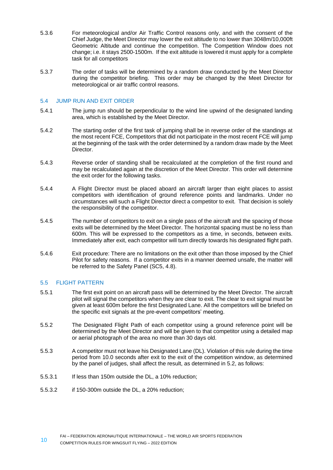- 5.3.6 For meteorological and/or Air Traffic Control reasons only, and with the consent of the Chief Judge, the Meet Director may lower the exit altitude to no lower than 3048m/10,000ft Geometric Altitude and continue the competition. The Competition Window does not change; i.e. it stays 2500-1500m. If the exit altitude is lowered it must apply for a complete task for all competitors
- 5.3.7 The order of tasks will be determined by a random draw conducted by the Meet Director during the competitor briefing. This order may be changed by the Meet Director for meteorological or air traffic control reasons.

#### <span id="page-9-0"></span>5.4 JUMP RUN AND EXIT ORDER

- 5.4.1 The jump run should be perpendicular to the wind line upwind of the designated landing area, which is established by the Meet Director.
- 5.4.2 The starting order of the first task of jumping shall be in reverse order of the standings at the most recent FCE, Competitors that did not participate in the most recent FCE will jump at the beginning of the task with the order determined by a random draw made by the Meet Director.
- 5.4.3 Reverse order of standing shall be recalculated at the completion of the first round and may be recalculated again at the discretion of the Meet Director. This order will determine the exit order for the following tasks.
- 5.4.4 A Flight Director must be placed aboard an aircraft larger than eight places to assist competitors with identification of ground reference points and landmarks. Under no circumstances will such a Flight Director direct a competitor to exit. That decision is solely the responsibility of the competitor.
- 5.4.5 The number of competitors to exit on a single pass of the aircraft and the spacing of those exits will be determined by the Meet Director. The horizontal spacing must be no less than 600m. This will be expressed to the competitors as a time, in seconds, between exits. Immediately after exit, each competitor will turn directly towards his designated flight path.
- 5.4.6 Exit procedure: There are no limitations on the exit other than those imposed by the Chief Pilot for safety reasons. If a competitor exits in a manner deemed unsafe, the matter will be referred to the Safety Panel (SC5, 4.8).

# <span id="page-9-1"></span>5.5 FLIGHT PATTERN

- 5.5.1 The first exit point on an aircraft pass will be determined by the Meet Director. The aircraft pilot will signal the competitors when they are clear to exit. The clear to exit signal must be given at least 600m before the first Designated Lane. All the competitors will be briefed on the specific exit signals at the pre-event competitors' meeting.
- 5.5.2 The Designated Flight Path of each competitor using a ground reference point will be determined by the Meet Director and will be given to that competitor using a detailed map or aerial photograph of the area no more than 30 days old.
- <span id="page-9-2"></span>5.5.3 A competitor must not leave his Designated Lane (DL). Violation of this rule during the time period from 10.0 seconds after exit to the exit of the competition window, as determined by the panel of judges, shall affect the result, as determined in [5.2,](#page-8-5) as follows:
- 5.5.3.1 If less than 150m outside the DL, a 10% reduction;
- 5.5.3.2 if 150-300m outside the DL, a 20% reduction;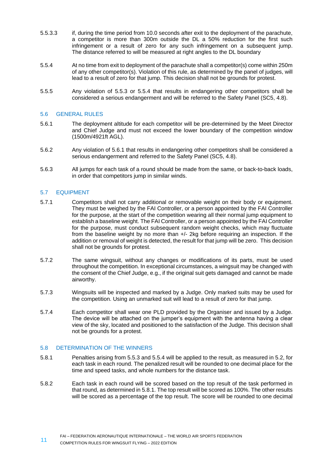- 5.5.3.3 if, during the time period from 10.0 seconds after exit to the deployment of the parachute, a competitor is more than 300m outside the DL a 50% reduction for the first such infringement or a result of zero for any such infringement on a subsequent jump. The distance referred to will be measured at right angles to the DL boundary
- <span id="page-10-6"></span>5.5.4 At no time from exit to deployment of the parachute shall a competitor(s) come within 250m of any other competitor(s). Violation of this rule, as determined by the panel of judges, will lead to a result of zero for that jump. This decision shall not be grounds for protest.
- 5.5.5 Any violation of [5.5.3](#page-9-2) or [5.5.4](#page-10-6) that results in endangering other competitors shall be considered a serious endangerment and will be referred to the Safety Panel (SC5, 4.8).

#### <span id="page-10-0"></span>5.6 GENERAL RULES

- <span id="page-10-7"></span>5.6.1 The deployment altitude for each competitor will be pre-determined by the Meet Director and Chief Judge and must not exceed the lower boundary of the competition window (1500m/4921ft AGL).
- 5.6.2 Any violation of [5.6.1](#page-10-7) that results in endangering other competitors shall be considered a serious endangerment and referred to the Safety Panel (SC5, 4.8).
- <span id="page-10-5"></span>5.6.3 All jumps for each task of a round should be made from the same, or back-to-back loads, in order that competitors jump in similar winds.

#### <span id="page-10-1"></span>5.7 EQUIPMENT

- 5.7.1 Competitors shall not carry additional or removable weight on their body or equipment. They must be weighed by the FAI Controller, or a person appointed by the FAI Controller for the purpose, at the start of the competition wearing all their normal jump equipment to establish a baseline weight. The FAI Controller, or a person appointed by the FAI Controller for the purpose, must conduct subsequent random weight checks, which may fluctuate from the baseline weight by no more than +/- 2kg before requiring an inspection. If the addition or removal of weight is detected, the result for that jump will be zero. This decision shall not be grounds for protest.
- 5.7.2 The same wingsuit, without any changes or modifications of its parts, must be used throughout the competition. In exceptional circumstances, a wingsuit may be changed with the consent of the Chief Judge, e.g., if the original suit gets damaged and cannot be made airworthy.
- 5.7.3 Wingsuits will be inspected and marked by a Judge. Only marked suits may be used for the competition. Using an unmarked suit will lead to a result of zero for that jump.
- 5.7.4 Each competitor shall wear one PLD provided by the Organiser and issued by a Judge. The device will be attached on the jumper's equipment with the antenna having a clear view of the sky, located and positioned to the satisfaction of the Judge. This decision shall not be grounds for a protest.

#### <span id="page-10-2"></span>5.8 DETERMINATION OF THE WINNERS

- <span id="page-10-3"></span>5.8.1 Penalties arising fro[m 5.5.3](#page-9-2) and [5.5.4](#page-10-6) will be applied to the result, as measured in [5.2,](#page-8-5) for each task in each round. The penalized result will be rounded to one decimal place for the time and speed tasks, and whole numbers for the distance task.
- <span id="page-10-4"></span>5.8.2 Each task in each round will be scored based on the top result of the task performed in that round, as determined i[n 5.8.1.](#page-10-3) The top result will be scored as 100%. The other results will be scored as a percentage of the top result. The score will be rounded to one decimal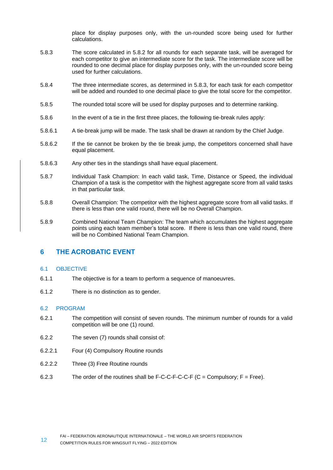place for display purposes only, with the un-rounded score being used for further calculations.

- <span id="page-11-3"></span>5.8.3 The score calculated in [5.8.2](#page-10-4) for all rounds for each separate task, will be averaged for each competitor to give an intermediate score for the task. The intermediate score will be rounded to one decimal place for display purposes only, with the un-rounded score being used for further calculations.
- <span id="page-11-4"></span>5.8.4 The three intermediate scores, as determined in [5.8.3,](#page-11-3) for each task for each competitor will be added and rounded to one decimal place to give the total score for the competitor.
- 5.8.5 The rounded total score will be used for display purposes and to determine ranking.
- 5.8.6 In the event of a tie in the first three places, the following tie-break rules apply:
- 5.8.6.1 A tie-break jump will be made. The task shall be drawn at random by the Chief Judge.
- 5.8.6.2 If the tie cannot be broken by the tie break jump, the competitors concerned shall have equal placement.
- 5.8.6.3 Any other ties in the standings shall have equal placement.
- 5.8.7 Individual Task Champion: In each valid task, Time, Distance or Speed, the individual Champion of a task is the competitor with the highest aggregate score from all valid tasks in that particular task.
- 5.8.8 Overall Champion: The competitor with the highest aggregate score from all valid tasks. If there is less than one valid round, there will be no Overall Champion.
- 5.8.9 Combined National Team Champion: The team which accumulates the highest aggregate points using each team member's total score. If there is less than one valid round, there will be no Combined National Team Champion.

# <span id="page-11-0"></span>**6 THE ACROBATIC EVENT**

#### <span id="page-11-1"></span>6.1 OBJECTIVE

- 6.1.1 The objective is for a team to perform a sequence of manoeuvres.
- 6.1.2 There is no distinction as to gender.

#### <span id="page-11-2"></span>6.2 PROGRAM

- 6.2.1 The competition will consist of seven rounds. The minimum number of rounds for a valid competition will be one (1) round.
- 6.2.2 The seven (7) rounds shall consist of:
- 6.2.2.1 Four (4) Compulsory Routine rounds
- 6.2.2.2 Three (3) Free Routine rounds
- 6.2.3 The order of the routines shall be  $F-C-C-F-C-F$  (C = Compulsory:  $F = Free$ ).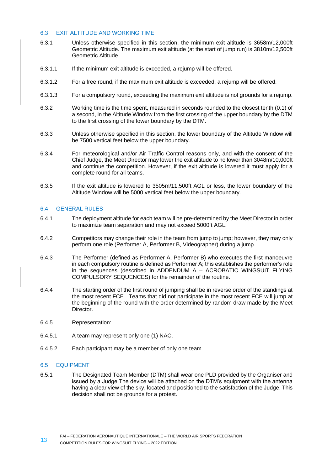#### <span id="page-12-0"></span>6.3 EXIT ALTITUDE AND WORKING TIME

- 6.3.1 Unless otherwise specified in this section, the minimum exit altitude is 3658m/12,000ft Geometric Altitude. The maximum exit altitude (at the start of jump run) is 3810m/12,500ft Geometric Altitude.
- 6.3.1.1 If the minimum exit altitude is exceeded, a rejump will be offered.
- 6.3.1.2 For a free round, if the maximum exit altitude is exceeded, a rejump will be offered.
- 6.3.1.3 For a compulsory round, exceeding the maximum exit altitude is not grounds for a rejump.
- 6.3.2 Working time is the time spent, measured in seconds rounded to the closest tenth (0.1) of a second, in the Altitude Window from the first crossing of the upper boundary by the DTM to the first crossing of the lower boundary by the DTM.
- <span id="page-12-3"></span>6.3.3 Unless otherwise specified in this section, the lower boundary of the Altitude Window will be 7500 vertical feet below the upper boundary.
- 6.3.4 For meteorological and/or Air Traffic Control reasons only, and with the consent of the Chief Judge, the Meet Director may lower the exit altitude to no lower than 3048m/10,000ft and continue the competition. However, if the exit altitude is lowered it must apply for a complete round for all teams.
- <span id="page-12-4"></span>6.3.5 If the exit altitude is lowered to 3505m/11,500ft AGL or less, the lower boundary of the Altitude Window will be 5000 vertical feet below the upper boundary.

#### <span id="page-12-1"></span>6.4 GENERAL RULES

- 6.4.1 The deployment altitude for each team will be pre-determined by the Meet Director in order to maximize team separation and may not exceed 5000ft AGL.
- 6.4.2 Competitors may change their role in the team from jump to jump; however, they may only perform one role (Performer A, Performer B, Videographer) during a jump.
- 6.4.3 The Performer (defined as Performer A, Performer B) who executes the first manoeuvre in each compulsory routine is defined as Performer A; this establishes the performer's role in the sequences (described in ADDENDUM A – [ACROBATIC WINGSUIT](#page-20-0) FLYING [COMPULSORY SEQUENCES\)](#page-20-0) for the remainder of the routine.
- 6.4.4 The starting order of the first round of jumping shall be in reverse order of the standings at the most recent FCE. Teams that did not participate in the most recent FCE will jump at the beginning of the round with the order determined by random draw made by the Meet Director.
- 6.4.5 Representation:
- 6.4.5.1 A team may represent only one (1) NAC.
- 6.4.5.2 Each participant may be a member of only one team.

#### <span id="page-12-2"></span>6.5 EQUIPMENT

6.5.1 The Designated Team Member (DTM) shall wear one PLD provided by the Organiser and issued by a Judge The device will be attached on the DTM's equipment with the antenna having a clear view of the sky, located and positioned to the satisfaction of the Judge. This decision shall not be grounds for a protest.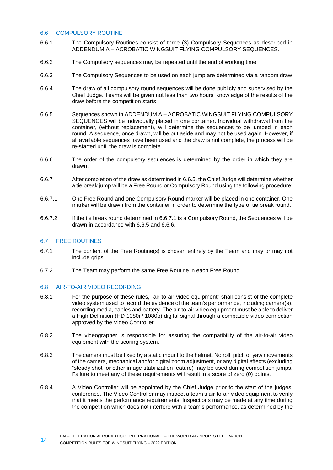#### <span id="page-13-0"></span>6.6 COMPULSORY ROUTINE

- 6.6.1 The Compulsory Routines consist of three (3) Compulsory Sequences as described in ADDENDUM A – ACROBATIC WINGSUIT [FLYING COMPULSORY SEQUENCES.](#page-20-0)
- 6.6.2 The Compulsory sequences may be repeated until the end of working time.
- 6.6.3 The Compulsory Sequences to be used on each jump are determined via a random draw
- 6.6.4 The draw of all compulsory round sequences will be done publicly and supervised by the Chief Judge. Teams will be given not less than two hours' knowledge of the results of the draw before the competition starts.
- <span id="page-13-3"></span>6.6.5 Sequences shown in ADDENDUM A – ACROBATIC WINGSUIT [FLYING COMPULSORY](#page-20-0)  [SEQUENCES](#page-20-0) will be individually placed in one container. Individual withdrawal from the container, (without replacement), will determine the sequences to be jumped in each round. A sequence, once drawn, will be put aside and may not be used again. However, if all available sequences have been used and the draw is not complete, the process will be re-started until the draw is complete.
- <span id="page-13-5"></span>6.6.6 The order of the compulsory sequences is determined by the order in which they are drawn.
- 6.6.7 After completion of the draw as determined i[n 6.6.5,](#page-13-3) the Chief Judge will determine whether a tie break jump will be a Free Round or Compulsory Round using the following procedure:
- <span id="page-13-4"></span>6.6.7.1 One Free Round and one Compulsory Round marker will be placed in one container. One marker will be drawn from the container in order to determine the type of tie break round.
- 6.6.7.2 If the tie break round determined in [6.6.7.1](#page-13-4) is a Compulsory Round, the Sequences will be drawn in accordance with [6.6.5](#page-13-3) and [6.6.6.](#page-13-5)

#### <span id="page-13-1"></span>6.7 FREE ROUTINES

- 6.7.1 The content of the Free Routine(s) is chosen entirely by the Team and may or may not include grips.
- 6.7.2 The Team may perform the same Free Routine in each Free Round.

#### <span id="page-13-2"></span>6.8 AIR-TO-AIR VIDEO RECORDING

- 6.8.1 For the purpose of these rules, "air-to-air video equipment" shall consist of the complete video system used to record the evidence of the team's performance, including camera(s), recording media, cables and battery. The air-to-air video equipment must be able to deliver a High Definition (HD 1080i / 1080p) digital signal through a compatible video connection approved by the Video Controller.
- 6.8.2 The videographer is responsible for assuring the compatibility of the air-to-air video equipment with the scoring system.
- 6.8.3 The camera must be fixed by a static mount to the helmet. No roll, pitch or yaw movements of the camera, mechanical and/or digital zoom adjustment, or any digital effects (excluding "steady shot" or other image stabilization feature) may be used during competition jumps. Failure to meet any of these requirements will result in a score of zero (0) points.
- 6.8.4 A Video Controller will be appointed by the Chief Judge prior to the start of the judges' conference. The Video Controller may inspect a team's air-to-air video equipment to verify that it meets the performance requirements. Inspections may be made at any time during the competition which does not interfere with a team's performance, as determined by the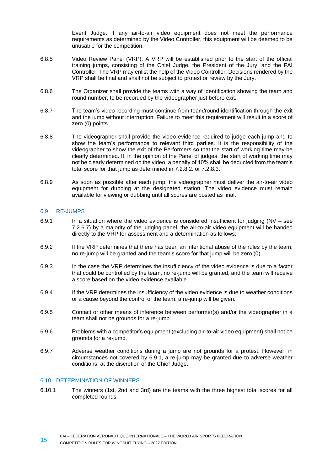Event Judge. If any air-to-air video equipment does not meet the performance requirements as determined by the Video Controller, this equipment will be deemed to be unusable for the competition.

- 6.8.5 Video Review Panel (VRP). A VRP will be established prior to the start of the official training jumps, consisting of the Chief Judge, the President of the Jury, and the FAI Controller. The VRP may enlist the help of the Video Controller. Decisions rendered by the VRP shall be final and shall not be subject to protest or review by the Jury.
- 6.8.6 The Organizer shall provide the teams with a way of identification showing the team and round number, to be recorded by the videographer just before exit.
- 6.8.7 The team's video recording must continue from team/round identification through the exit and the jump without interruption. Failure to meet this requirement will result in a score of zero (0) points.
- 6.8.8 The videographer shall provide the video evidence required to judge each jump and to show the team's performance to relevant third parties. It is the responsibility of the videographer to show the exit of the Performers so that the start of working time may be clearly determined. If, in the opinion of the Panel of judges, the start of working time may not be clearly determined on the video, a penalty of 10% shall be deducted from the team's total score for that jump as determined in [7.2.8.2.](#page-16-0) or [7.2.8.3.](#page-16-1)
- 6.8.9 As soon as possible after each jump, the videographer must deliver the air-to-air video equipment for dubbing at the designated station. The video evidence must remain available for viewing or dubbing until all scores are posted as final.

#### <span id="page-14-0"></span>6.9 RE-JUMPS

- <span id="page-14-2"></span>6.9.1 In a situation where the video evidence is considered insufficient for judging ( $NV - see$ [7.2.6.7\)](#page-16-2) by a majority of the judging panel, the air-to-air video equipment will be handed directly to the VRP for assessment and a determination as follows:
- 6.9.2 If the VRP determines that there has been an intentional abuse of the rules by the team, no re-jump will be granted and the team's score for that jump will be zero (0).
- 6.9.3 In the case the VRP determines the insufficiency of the video evidence is due to a factor that could be controlled by the team, no re-jump will be granted, and the team will receive a score based on the video evidence available.
- 6.9.4 If the VRP determines the insufficiency of the video evidence is due to weather conditions or a cause beyond the control of the team, a re-jump will be given.
- 6.9.5 Contact or other means of inference between performer(s) and/or the videographer in a team shall not be grounds for a re-jump.
- 6.9.6 Problems with a competitor's equipment (excluding air-to-air video equipment) shall not be grounds for a re-jump.
- 6.9.7 Adverse weather conditions during a jump are not grounds for a protest. However, in circumstances not covered by [6.9.1,](#page-14-2) a re-jump may be granted due to adverse weather conditions, at the discretion of the Chief Judge.

#### <span id="page-14-1"></span>6.10 DETERMINATION OF WINNERS

6.10.1 The winners (1st, 2nd and 3rd) are the teams with the three highest total scores for all completed rounds.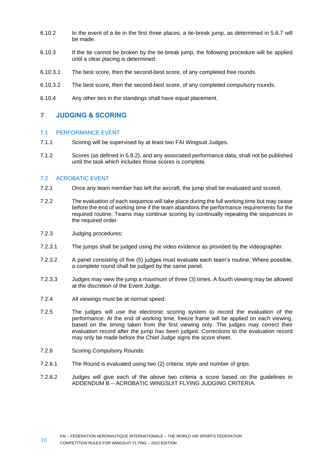- 6.10.2 In the event of a tie in the first three places, a tie-break jump, as determined in 5.6.7 will be made.
- 6.10.3 If the tie cannot be broken by the tie-break jump, the following procedure will be applied until a clear placing is determined:
- 6.10.3.1 The best score, then the second-best score, of any completed free rounds.
- 6.10.3.2 The best score, then the second-best score, of any completed compulsory rounds.
- 6.10.4 Any other ties in the standings shall have equal placement.

# <span id="page-15-0"></span>**7 JUDGING & SCORING**

#### <span id="page-15-1"></span>7.1 PERFORMANCE EVENT

- 7.1.1 Scoring will be supervised by at least two FAI Wingsuit Judges.
- 7.1.2 Scores (as defined i[n 5.8.2\)](#page-10-4), and any associated performance data, shall not be published until the task which includes those scores is complete.

#### <span id="page-15-2"></span>7.2 ACROBATIC EVENT

- 7.2.1 Once any team member has left the aircraft, the jump shall be evaluated and scored.
- 7.2.2 The evaluation of each sequence will take place during the full working time but may cease before the end of working time if the team abandons the performance requirements for the required routine. Teams may continue scoring by continually repeating the sequences in the required order.
- 7.2.3 Judging procedures:
- 7.2.3.1 The jumps shall be judged using the video evidence as provided by the videographer.
- 7.2.3.2 A panel consisting of five (5) judges must evaluate each team's routine. Where possible, a complete round shall be judged by the same panel.
- 7.2.3.3 Judges may view the jump a maximum of three (3) times. A fourth viewing may be allowed at the discretion of the Event Judge.
- 7.2.4 All viewings must be at normal speed.
- 7.2.5 The judges will use the electronic scoring system to record the evaluation of the performance. At the end of working time, freeze frame will be applied on each viewing, based on the timing taken from the first viewing only. The judges may correct their evaluation record after the jump has been judged. Corrections to the evaluation record may only be made before the Chief Judge signs the score sheet.
- <span id="page-15-3"></span>7.2.6 Scoring Compulsory Rounds:
- 7.2.6.1 The Round is evaluated using two (2) criteria: style and number of grips.
- 7.2.6.2 Judges will give each of the above two criteria a score based on the guidelines in ADDENDUM B – [ACROBATIC WINGSUIT FLYING JUDGING CRITERIA.](#page-23-0)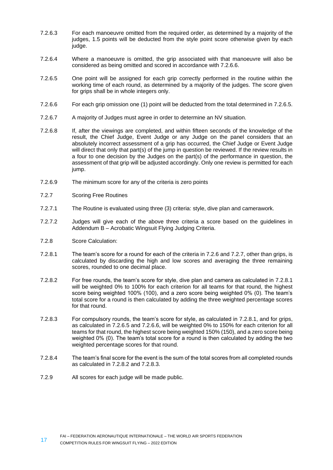- 7.2.6.3 For each manoeuvre omitted from the required order, as determined by a majority of the judges, 1.5 points will be deducted from the style point score otherwise given by each judge.
- 7.2.6.4 Where a manoeuvre is omitted, the grip associated with that manoeuvre will also be considered as being omitted and scored in accordance with [7.2.6.6.](#page-16-3)
- <span id="page-16-4"></span>7.2.6.5 One point will be assigned for each grip correctly performed in the routine within the working time of each round, as determined by a majority of the judges. The score given for grips shall be in whole integers only.
- <span id="page-16-3"></span>7.2.6.6 For each grip omission one (1) point will be deducted from the total determined in [7.2.6.5.](#page-16-4)
- <span id="page-16-2"></span>7.2.6.7 A majority of Judges must agree in order to determine an NV situation.
- 7.2.6.8 If, after the viewings are completed, and within fifteen seconds of the knowledge of the result, the Chief Judge, Event Judge or any Judge on the panel considers that an absolutely incorrect assessment of a grip has occurred, the Chief Judge or Event Judge will direct that only that part(s) of the jump in question be reviewed. If the review results in a four to one decision by the Judges on the part(s) of the performance in question, the assessment of that grip will be adjusted accordingly. Only one review is permitted for each jump.
- 7.2.6.9 The minimum score for any of the criteria is zero points
- <span id="page-16-5"></span>7.2.7 Scoring Free Routines
- 7.2.7.1 The Routine is evaluated using three (3) criteria: style, dive plan and camerawork.
- 7.2.7.2 Judges will give each of the above three criteria a score based on the guidelines in Addendum B – Acrobatic Wingsuit Flying Judging Criteria.
- 7.2.8 Score Calculation:
- <span id="page-16-6"></span>7.2.8.1 The team's score for a round for each of the criteria in [7.2.6](#page-15-3) and [7.2.7,](#page-16-5) other than grips, is calculated by discarding the high and low scores and averaging the three remaining scores, rounded to one decimal place.
- <span id="page-16-0"></span>7.2.8.2 For free rounds, the team's score for style, dive plan and camera as calculated in [7.2.8.1](#page-16-6) will be weighted 0% to 100% for each criterion for all teams for that round, the highest score being weighted 100% (100), and a zero score being weighted 0% (0). The team's total score for a round is then calculated by adding the three weighted percentage scores for that round.
- <span id="page-16-1"></span>7.2.8.3 For compulsory rounds, the team's score for style, as calculated in [7.2.8.1,](#page-16-6) and for grips, as calculated in [7.2.6.5](#page-16-4) and [7.2.6.6,](#page-16-3) will be weighted 0% to 150% for each criterion for all teams for that round, the highest score being weighted 150% (150), and a zero score being weighted 0% (0). The team's total score for a round is then calculated by adding the two weighted percentage scores for that round.
- 7.2.8.4 The team's final score for the event is the sum of the total scores from all completed rounds as calculated in [7.2.8.2](#page-16-0) and [7.2.8.3.](#page-16-1)
- 7.2.9 All scores for each judge will be made public.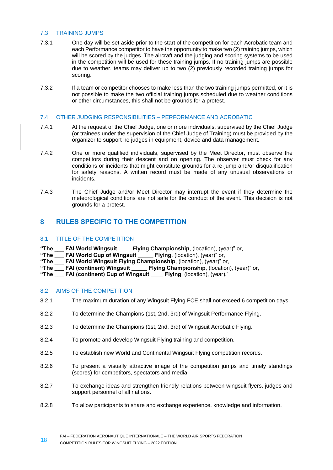# <span id="page-17-0"></span>7.3 TRAINING JUMPS

- 7.3.1 One day will be set aside prior to the start of the competition for each Acrobatic team and each Performance competitor to have the opportunity to make two (2) training jumps, which will be scored by the judges. The aircraft and the judging and scoring systems to be used in the competition will be used for these training jumps. If no training jumps are possible due to weather, teams may deliver up to two (2) previously recorded training jumps for scoring.
- 7.3.2 If a team or competitor chooses to make less than the two training jumps permitted, or it is not possible to make the two official training jumps scheduled due to weather conditions or other circumstances, this shall not be grounds for a protest.

# <span id="page-17-1"></span>7.4 OTHER JUDGING RESPONSIBILITIES – PERFORMANCE AND ACROBATIC

- 7.4.1 At the request of the Chief Judge, one or more individuals, supervised by the Chief Judge (or trainees under the supervision of the Chief Judge of Training) must be provided by the organizer to support he judges in equipment, device and data management.
- 7.4.2 One or more qualified individuals, supervised by the Meet Director, must observe the competitors during their descent and on opening. The observer must check for any conditions or incidents that might constitute grounds for a re-jump and/or disqualification for safety reasons. A written record must be made of any unusual observations or incidents.
- 7.4.3 The Chief Judge and/or Meet Director may interrupt the event if they determine the meteorological conditions are not safe for the conduct of the event. This decision is not grounds for a protest.

# <span id="page-17-2"></span>**8 RULES SPECIFIC TO THE COMPETITION**

# <span id="page-17-3"></span>8.1 TITLE OF THE COMPETITION

- **"The \_\_\_ FAI World Wingsuit \_\_\_\_ Flying Championship**, (location), (year)" or,
- **"The \_\_\_ FAI World Cup of Wingsuit \_\_\_\_\_ Flying**, (location), (year)" or,
- "The **FAI World Wingsuit Flying Championship**, (location), (year)" or,
- **"The \_\_\_ FAI (continent) Wingsuit \_\_\_\_\_ Flying Championship**, (location), (year)" or,
- <span id="page-17-4"></span>**"The \_\_\_ FAI (continent) Cup of Wingsuit \_\_\_\_ Flying**, (location), (year)."

# 8.2 AIMS OF THE COMPETITION

- 8.2.1 The maximum duration of any Wingsuit Flying FCE shall not exceed 6 competition days.
- 8.2.2 To determine the Champions (1st, 2nd, 3rd) of Wingsuit Performance Flying.
- 8.2.3 To determine the Champions (1st, 2nd, 3rd) of Wingsuit Acrobatic Flying.
- 8.2.4 To promote and develop Wingsuit Flying training and competition.
- 8.2.5 To establish new World and Continental Wingsuit Flying competition records.
- 8.2.6 To present a visually attractive image of the competition jumps and timely standings (scores) for competitors, spectators and media.
- 8.2.7 To exchange ideas and strengthen friendly relations between wingsuit flyers, judges and support personnel of all nations.
- 8.2.8 To allow participants to share and exchange experience, knowledge and information.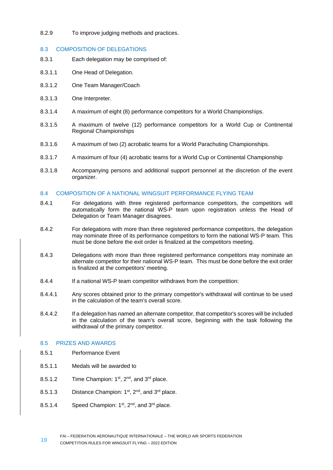# 8.2.9 To improve judging methods and practices.

# <span id="page-18-0"></span>8.3 COMPOSITION OF DELEGATIONS

- 8.3.1 Each delegation may be comprised of:
- 8.3.1.1 One Head of Delegation.
- 8.3.1.2 One Team Manager/Coach
- 8.3.1.3 One Interpreter.
- 8.3.1.4 A maximum of eight (8) performance competitors for a World Championships.
- 8.3.1.5 A maximum of twelve (12) performance competitors for a World Cup or Continental Regional Championships
- 8.3.1.6 A maximum of two (2) acrobatic teams for a World Parachuting Championships.
- 8.3.1.7 A maximum of four (4) acrobatic teams for a World Cup or Continental Championship
- 8.3.1.8 Accompanying persons and additional support personnel at the discretion of the event organizer.

# <span id="page-18-1"></span>8.4 COMPOSITION OF A NATIONAL WINGSUIT PERFORMANCE FLYING TEAM

- 8.4.1 For delegations with three registered performance competitors, the competitors will automatically form the national WS-P team upon registration unless the Head of Delegation or Team Manager disagrees.
- 8.4.2 For delegations with more than three registered performance competitors, the delegation may nominate three of its performance competitors to form the national WS-P team. This must be done before the exit order is finalized at the competitors meeting.
- 8.4.3 Delegations with more than three registered performance competitors may nominate an alternate competitor for their national WS-P team. This must be done before the exit order is finalized at the competitors' meeting.
- 8.4.4 If a national WS-P team competitor withdraws from the competition:
- 8.4.4.1 Any scores obtained prior to the primary competitor's withdrawal will continue to be used in the calculation of the team's overall score.
- 8.4.4.2 If a delegation has named an alternate competitor, that competitor's scores will be included in the calculation of the team's overall score, beginning with the task following the withdrawal of the primary competitor.

# <span id="page-18-2"></span>8.5 PRIZES AND AWARDS

- 8.5.1 Performance Event
- 8.5.1.1 Medals will be awarded to
- 8.5.1.2 Time Champion:  $1<sup>st</sup>$ ,  $2<sup>nd</sup>$ , and  $3<sup>rd</sup>$  place.
- 8.5.1.3 Distance Champion: 1<sup>st</sup>, 2<sup>nd</sup>, and 3<sup>rd</sup> place.
- 8.5.1.4 Speed Champion:  $1<sup>st</sup>$ ,  $2<sup>nd</sup>$ , and  $3<sup>rd</sup>$  place.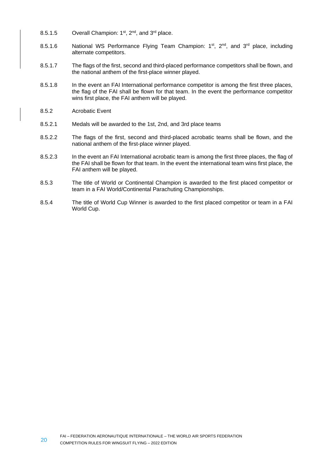- 8.5.1.5 Overall Champion:  $1<sup>st</sup>$ ,  $2<sup>nd</sup>$ , and  $3<sup>rd</sup>$  place.
- 8.5.1.6 National WS Performance Flying Team Champion:  $1^{st}$ ,  $2^{nd}$ , and  $3^{rd}$  place, including alternate competitors.
- 8.5.1.7 The flags of the first, second and third-placed performance competitors shall be flown, and the national anthem of the first-place winner played.
- 8.5.1.8 In the event an FAI International performance competitor is among the first three places, the flag of the FAI shall be flown for that team. In the event the performance competitor wins first place, the FAI anthem will be played.
- 8.5.2 Acrobatic Event
- 8.5.2.1 Medals will be awarded to the 1st, 2nd, and 3rd place teams
- 8.5.2.2 The flags of the first, second and third-placed acrobatic teams shall be flown, and the national anthem of the first-place winner played.
- 8.5.2.3 In the event an FAI International acrobatic team is among the first three places, the flag of the FAI shall be flown for that team. In the event the international team wins first place, the FAI anthem will be played.
- 8.5.3 The title of World or Continental Champion is awarded to the first placed competitor or team in a FAI World/Continental Parachuting Championships.
- 8.5.4 The title of World Cup Winner is awarded to the first placed competitor or team in a FAI World Cup.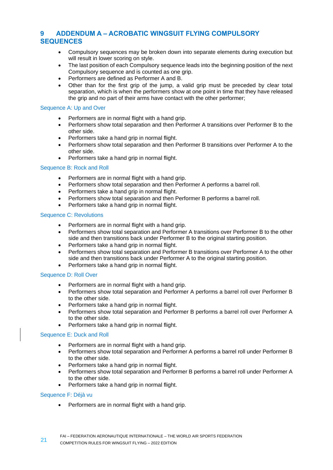# <span id="page-20-0"></span>**9 ADDENDUM A – ACROBATIC WINGSUIT FLYING COMPULSORY SEQUENCES**

- Compulsory sequences may be broken down into separate elements during execution but will result in lower scoring on style.
- The last position of each Compulsory sequence leads into the beginning position of the next Compulsory sequence and is counted as one grip.
- Performers are defined as Performer A and B.
- Other than for the first grip of the jump, a valid grip must be preceded by clear total separation, which is when the performers show at one point in time that they have released the grip and no part of their arms have contact with the other performer;

#### Sequence A: Up and Over

- Performers are in normal flight with a hand grip.
- Performers show total separation and then Performer A transitions over Performer B to the other side.
- Performers take a hand grip in normal flight.
- Performers show total separation and then Performer B transitions over Performer A to the other side.
- Performers take a hand grip in normal flight.

#### Sequence B: Rock and Roll

- Performers are in normal flight with a hand grip.
- Performers show total separation and then Performer A performs a barrel roll.
- Performers take a hand grip in normal flight.
- Performers show total separation and then Performer B performs a barrel roll.
- Performers take a hand grip in normal flight.

#### Sequence C: Revolutions

- Performers are in normal flight with a hand grip.
- Performers show total separation and Performer A transitions over Performer B to the other side and then transitions back under Performer B to the original starting position.
- Performers take a hand grip in normal flight.
- Performers show total separation and Performer B transitions over Performer A to the other side and then transitions back under Performer A to the original starting position.
- Performers take a hand grip in normal flight.

#### Sequence D: Roll Over

- Performers are in normal flight with a hand grip.
- Performers show total separation and Performer A performs a barrel roll over Performer B to the other side.
- Performers take a hand grip in normal flight.
- Performers show total separation and Performer B performs a barrel roll over Performer A to the other side.
- Performers take a hand grip in normal flight.

#### Sequence E: Duck and Roll

- Performers are in normal flight with a hand grip.
- Performers show total separation and Performer A performs a barrel roll under Performer B to the other side.
- Performers take a hand grip in normal flight.
- Performers show total separation and Performer B performs a barrel roll under Performer A to the other side.
- Performers take a hand grip in normal flight.

#### Sequence F: Déjà vu

• Performers are in normal flight with a hand grip.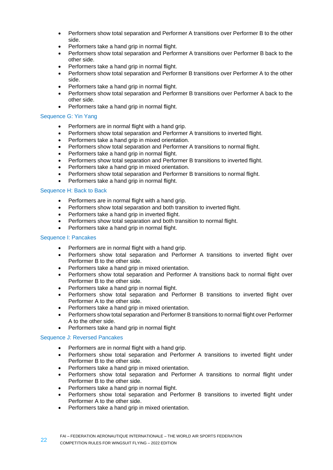- Performers show total separation and Performer A transitions over Performer B to the other side.
- Performers take a hand grip in normal flight.
- Performers show total separation and Performer A transitions over Performer B back to the other side.
- Performers take a hand grip in normal flight.
- Performers show total separation and Performer B transitions over Performer A to the other side.
- Performers take a hand grip in normal flight.
- Performers show total separation and Performer B transitions over Performer A back to the other side.
- Performers take a hand grip in normal flight.

# Sequence G: Yin Yang

- Performers are in normal flight with a hand grip.
- Performers show total separation and Performer A transitions to inverted flight.
- Performers take a hand grip in mixed orientation.
- Performers show total separation and Performer A transitions to normal flight.
- Performers take a hand grip in normal flight.
- Performers show total separation and Performer B transitions to inverted flight.
- Performers take a hand grip in mixed orientation.
- Performers show total separation and Performer B transitions to normal flight.
- Performers take a hand grip in normal flight.

# Sequence H: Back to Back

- Performers are in normal flight with a hand grip.
- Performers show total separation and both transition to inverted flight.
- Performers take a hand grip in inverted flight.
- Performers show total separation and both transition to normal flight.
- Performers take a hand grip in normal flight.

# Sequence I: Pancakes

- Performers are in normal flight with a hand grip.
- Performers show total separation and Performer A transitions to inverted flight over Performer B to the other side.
- Performers take a hand grip in mixed orientation.
- Performers show total separation and Performer A transitions back to normal flight over Performer B to the other side.
- Performers take a hand grip in normal flight.
- Performers show total separation and Performer B transitions to inverted flight over Performer A to the other side.
- Performers take a hand grip in mixed orientation.
- Performers show total separation and Performer B transitions to normal flight over Performer A to the other side.
- Performers take a hand grip in normal flight

# Sequence J: Reversed Pancakes

- Performers are in normal flight with a hand grip.
- Performers show total separation and Performer A transitions to inverted flight under Performer B to the other side.
- Performers take a hand grip in mixed orientation.
- Performers show total separation and Performer A transitions to normal flight under Performer B to the other side.
- Performers take a hand grip in normal flight.
- Performers show total separation and Performer B transitions to inverted flight under Performer A to the other side.
- Performers take a hand grip in mixed orientation.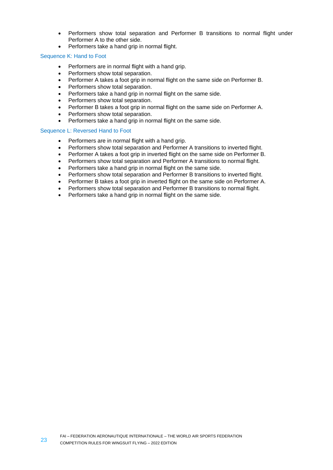- Performers show total separation and Performer B transitions to normal flight under Performer A to the other side.
- Performers take a hand grip in normal flight.

#### Sequence K: Hand to Foot

- Performers are in normal flight with a hand grip.
- Performers show total separation.
- Performer A takes a foot grip in normal flight on the same side on Performer B.
- Performers show total separation.
- Performers take a hand grip in normal flight on the same side.
- Performers show total separation.
- Performer B takes a foot grip in normal flight on the same side on Performer A.
- Performers show total separation.
- Performers take a hand grip in normal flight on the same side.

#### Sequence L: Reversed Hand to Foot

- Performers are in normal flight with a hand grip.
- Performers show total separation and Performer A transitions to inverted flight.
- Performer A takes a foot grip in inverted flight on the same side on Performer B.
- Performers show total separation and Performer A transitions to normal flight.
- Performers take a hand grip in normal flight on the same side.
- Performers show total separation and Performer B transitions to inverted flight.
- Performer B takes a foot grip in inverted flight on the same side on Performer A.
- Performers show total separation and Performer B transitions to normal flight.
- Performers take a hand grip in normal flight on the same side.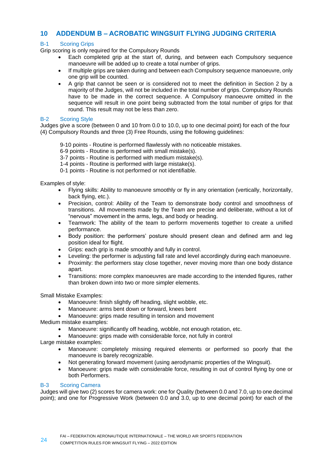# <span id="page-23-0"></span>**10 ADDENDUM B – ACROBATIC WINGSUIT FLYING JUDGING CRITERIA**

# B-1 Scoring Grips

Grip scoring is only required for the Compulsory Rounds

- Each completed grip at the start of, during, and between each Compulsory sequence manoeuvre will be added up to create a total number of grips.
- If multiple grips are taken during and between each Compulsory sequence manoeuvre, only one grip will be counted.
- A grip that cannot be seen or is considered not to meet the definition in Section 2 by a majority of the Judges, will not be included in the total number of grips. Compulsory Rounds have to be made in the correct sequence. A Compulsory manoeuvre omitted in the sequence will result in one point being subtracted from the total number of grips for that round. This result may not be less than zero.

#### B-2 Scoring Style

Judges give a score (between 0 and 10 from 0.0 to 10.0, up to one decimal point) for each of the four (4) Compulsory Rounds and three (3) Free Rounds, using the following guidelines:

- 9-10 points Routine is performed flawlessly with no noticeable mistakes.
- 6-9 points Routine is performed with small mistake(s).
- 3-7 points Routine is performed with medium mistake(s).
- 1-4 points Routine is performed with large mistake(s).
- 0-1 points Routine is not performed or not identifiable.

Examples of style:

- Flying skills: Ability to manoeuvre smoothly or fly in any orientation (vertically, horizontally, back flying, etc.).
- Precision, control: Ability of the Team to demonstrate body control and smoothness of transitions. All movements made by the Team are precise and deliberate, without a lot of "nervous" movement in the arms, legs, and body or heading.
- Teamwork: The ability of the team to perform movements together to create a unified performance.
- Body position: the performers' posture should present clean and defined arm and leg position ideal for flight.
- Grips: each grip is made smoothly and fully in control.
- Leveling: the performer is adjusting fall rate and level accordingly during each manoeuvre.
- Proximity: the performers stay close together, never moving more than one body distance apart
- Transitions: more complex manoeuvres are made according to the intended figures, rather than broken down into two or more simpler elements.

Small Mistake Examples:

- Manoeuvre: finish slightly off heading, slight wobble, etc.
- Manoeuvre: arms bent down or forward, knees bent
- Manoeuvre: grips made resulting in tension and movement

Medium mistake examples:

- Manoeuvre: significantly off heading, wobble, not enough rotation, etc.
- Manoeuvre: grips made with considerable force, not fully in control

Large mistake examples:

- Manoeuvre: completely missing required elements or performed so poorly that the manoeuvre is barely recognizable.
- Not generating forward movement (using aerodynamic properties of the Wingsuit).
- Manoeuvre: grips made with considerable force, resulting in out of control flying by one or both Performers.

# B-3 Scoring Camera

Judges will give two (2) scores for camera work: one for Quality (between 0.0 and 7.0, up to one decimal point); and one for Progressive Work (between 0.0 and 3.0, up to one decimal point) for each of the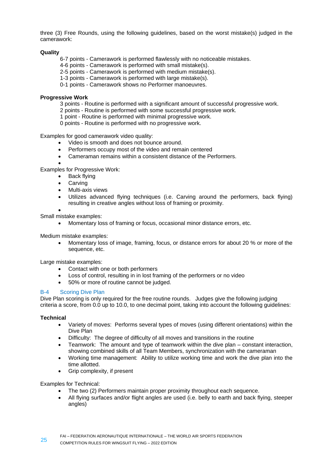three (3) Free Rounds, using the following guidelines, based on the worst mistake(s) judged in the camerawork:

# **Quality**

- 6-7 points Camerawork is performed flawlessly with no noticeable mistakes.
- 4-6 points Camerawork is performed with small mistake(s).
- 2-5 points Camerawork is performed with medium mistake(s).
- 1-3 points Camerawork is performed with large mistake(s).
- 0-1 points Camerawork shows no Performer manoeuvres.

#### **Progressive Work**

- 3 points Routine is performed with a significant amount of successful progressive work.
- 2 points Routine is performed with some successful progressive work.
- 1 point Routine is performed with minimal progressive work.
- 0 points Routine is performed with no progressive work.

Examples for good camerawork video quality:

- Video is smooth and does not bounce around.
- Performers occupy most of the video and remain centered
- Cameraman remains within a consistent distance of the Performers.

• Examples for Progressive Work:

- Back flying
- **Carving**
- Multi-axis views
- Utilizes advanced flying techniques (i.e. Carving around the performers, back flying) resulting in creative angles without loss of framing or proximity.

•

Small mistake examples:

• Momentary loss of framing or focus, occasional minor distance errors, etc.

Medium mistake examples:

• Momentary loss of image, framing, focus, or distance errors for about 20 % or more of the sequence, etc.

Large mistake examples:

- Contact with one or both performers
- Loss of control, resulting in in lost framing of the performers or no video
- 50% or more of routine cannot be judged.

#### B-4 Scoring Dive Plan

Dive Plan scoring is only required for the free routine rounds. Judges give the following judging criteria a score, from 0.0 up to 10.0, to one decimal point, taking into account the following guidelines:

# **Technical**

- Variety of moves: Performs several types of moves (using different orientations) within the Dive Plan
- Difficulty: The degree of difficulty of all moves and transitions in the routine
- Teamwork: The amount and type of teamwork within the dive plan constant interaction, showing combined skills of all Team Members, synchronization with the cameraman
- Working time management: Ability to utilize working time and work the dive plan into the time allotted.
- Grip complexity, if present

Examples for Technical:

- The two (2) Performers maintain proper proximity throughout each sequence.
- All flying surfaces and/or flight angles are used (i.e. belly to earth and back flying, steeper angles)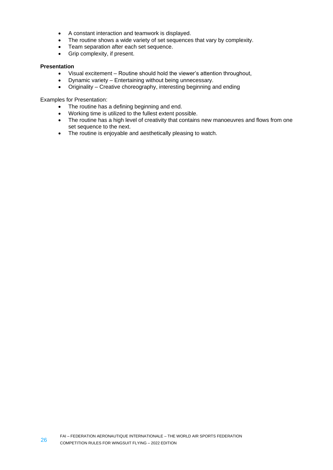- A constant interaction and teamwork is displayed.
- The routine shows a wide variety of set sequences that vary by complexity.
- Team separation after each set sequence.
- Grip complexity, if present.

# **Presentation**

- Visual excitement Routine should hold the viewer's attention throughout,
- Dynamic variety Entertaining without being unnecessary.
- Originality Creative choreography, interesting beginning and ending

Examples for Presentation:

- The routine has a defining beginning and end.
- Working time is utilized to the fullest extent possible.
- The routine has a high level of creativity that contains new manoeuvres and flows from one set sequence to the next.
- The routine is enjoyable and aesthetically pleasing to watch.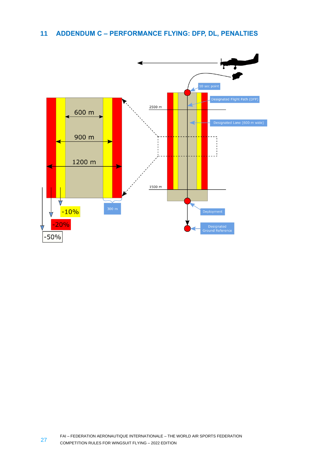# <span id="page-26-0"></span>**11 ADDENDUM C – PERFORMANCE FLYING: DFP, DL, PENALTIES**